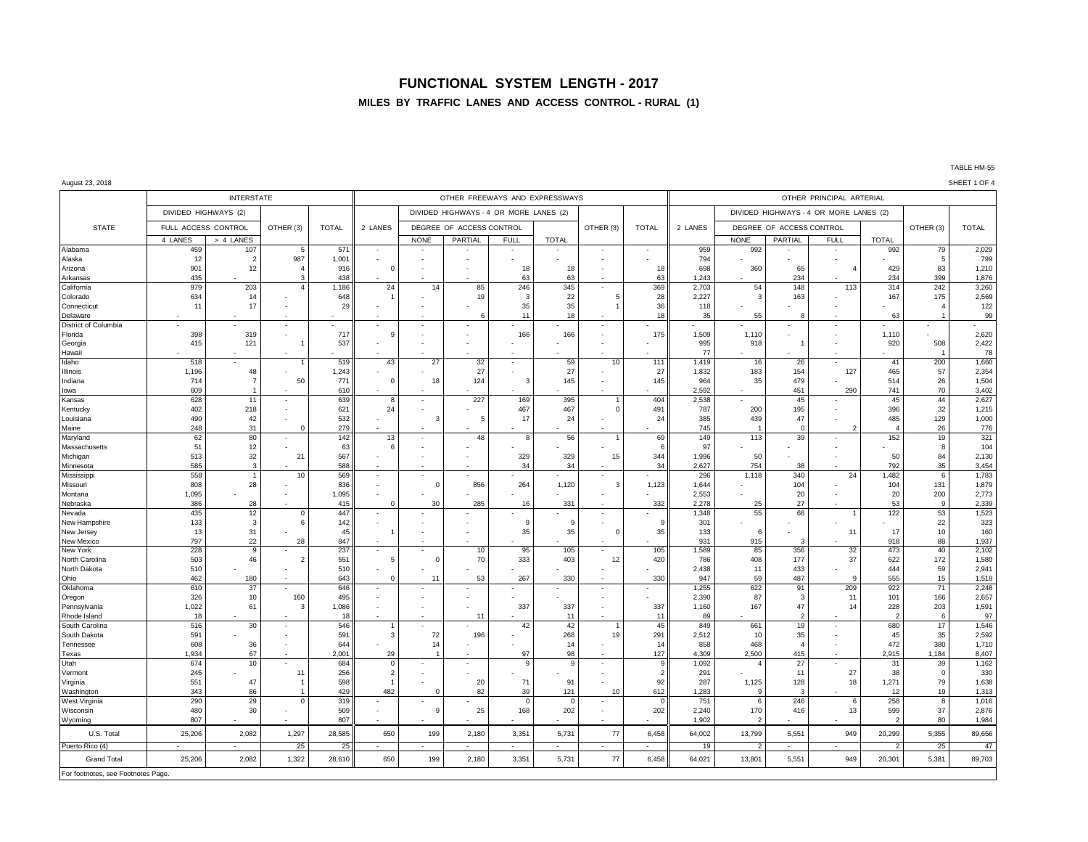## **FUNCTIONAL SYSTEM LENGTH - 2017**

## **MILES BY TRAFFIC LANES AND ACCESS CONTROL - RURAL (1)**

#### August 23, 2018 SHEET 1 OF 4

|                                    |                          | <b>INTERSTATE</b>     |                          |              |                |                          |                                        |             | OTHER FREEWAYS AND EXPRESSWAYS |                          | OTHER PRINCIPAL ARTERIAL |                |                    |                          |                                         |                       |                          |                |
|------------------------------------|--------------------------|-----------------------|--------------------------|--------------|----------------|--------------------------|----------------------------------------|-------------|--------------------------------|--------------------------|--------------------------|----------------|--------------------|--------------------------|-----------------------------------------|-----------------------|--------------------------|----------------|
|                                    | DIVIDED HIGHWAYS (2)     |                       |                          |              |                |                          | DIVIDED HIGHWAYS - 4 OR MORE LANES (2) |             |                                |                          |                          |                |                    |                          |                                         |                       |                          |                |
| <b>STATE</b>                       | FULL ACCESS CONTROL      |                       | OTHER (3)                | <b>TOTAL</b> | 2 LANES        |                          | DEGREE OF ACCESS CONTROL               |             |                                | OTHER (3)                | <b>TOTAL</b>             | 2 LANES        |                    | DEGREE OF ACCESS CONTROL |                                         |                       | OTHER (3)                | <b>TOTAL</b>   |
| Alabama                            | 4 LANES                  | > 4 LANES             |                          | 571          |                | <b>NONE</b>              | <b>PARTIAL</b>                         | <b>FULL</b> | <b>TOTAL</b>                   |                          | $\sim$                   | 959            | <b>NONE</b><br>992 | <b>PARTIAL</b>           | <b>FULL</b><br>$\overline{\phantom{a}}$ | <b>TOTAL</b><br>992   | 79                       | 2,029          |
| Alaska                             | 459<br>12                | 107<br>$\overline{2}$ | - 5<br>987               | 1,001        |                |                          |                                        |             |                                |                          |                          | 794            |                    |                          |                                         |                       | 5                        | 799            |
| Arizona                            | 901                      | 12                    | $\overline{4}$           | 916          | $\Omega$       | $\overline{\phantom{a}}$ |                                        | 18          | 18                             | ٠                        | 18                       | 698            | 360                | 65                       |                                         | 429                   | 83                       | 1,210          |
| Arkansas                           | 435                      |                       |                          | 438          |                |                          |                                        | 63          | 63                             |                          | 63                       | 1,243          |                    | 234                      |                                         | 234                   | 399                      | 1,876          |
| California                         | 979                      | 203                   | $\overline{4}$           | 1,186        | 24             | 14                       | 85                                     | 246         | 345                            | $\overline{\phantom{a}}$ | 369                      | 2,703          | 54                 | 148                      | 113                                     | 314                   | 242                      | 3,260          |
| Colorado                           | 634                      | 14                    |                          | 648          |                |                          | 19                                     | 3           | 22                             | 5                        | 28                       | 2,227          | $\overline{3}$     | 163                      |                                         | 167                   | 175                      | 2,569          |
| Connecticut                        | 11                       | 17                    |                          | 29           |                |                          |                                        | 35          | 35                             | -1                       | 36                       | 118            | 55                 |                          |                                         |                       |                          | 122            |
| Delaware<br>District of Columbia   |                          |                       | $\overline{\phantom{a}}$ |              |                | $\overline{\phantom{a}}$ |                                        | 11          | 18                             |                          | 18                       | 35             |                    |                          |                                         | 63                    | $\overline{\phantom{a}}$ | 99             |
| Florida                            | 398                      | 319                   |                          | 717          | q              |                          |                                        | 166         | 166                            |                          | 175                      | 1,509          | 1,110              |                          |                                         | 1,110                 |                          | 2,620          |
| Georgia                            | 415                      | 121                   | $\mathbf{1}$             | 537          |                |                          |                                        |             |                                |                          |                          | 995            | 918                |                          |                                         | 920                   | 508                      | 2,422          |
| Hawaii                             |                          |                       |                          |              |                |                          |                                        |             |                                |                          |                          | 77             |                    |                          |                                         |                       |                          | 78             |
| Idaho                              | 518                      |                       |                          | 519          | 43             | 27                       | 32                                     | ٠           | 59                             | 10                       | 111                      | 1,419          | 16                 | 26                       |                                         | 41                    | 200                      | 1,660          |
| Illinois                           | 1,196                    | 48                    |                          | 1,243        |                |                          | 27                                     |             | 27                             |                          | 27                       | 1,832          | 183                | 154                      | 127                                     | 465                   | 57                       | 2,354          |
| Indiana                            | 714                      |                       | 50                       | 771          | $\Omega$       | 18                       | 124                                    | 3           | 145                            |                          | 145                      | 964            | 35                 | 479                      |                                         | 514                   | 26                       | 1,504          |
| lowa                               | 609<br>628               | 11                    |                          | 610<br>639   |                |                          | 227                                    |             | 395                            | $\overline{1}$           | 404                      | 2.592<br>2,538 |                    | 451<br>45                | 290                                     | 741<br>45             | 70<br>44                 | 3.402<br>2,627 |
| Kansas<br>Kentucky                 | 402                      | 218                   |                          | 621          | 8<br>24        |                          |                                        | 169<br>467  | 467                            | $\mathbf 0$              | 491                      | 787            | 200                | 195                      |                                         | 396                   | 32                       | 1,215          |
| Louisiana                          | 490                      | 42                    |                          | 532          |                | 3                        | 5                                      | 17          | 24                             | $\overline{\phantom{a}}$ | 24                       | 385            | 439                | 47                       |                                         | 485                   | 129                      | 1,000          |
| Maine                              | 248                      | 31                    | $\Omega$                 | 279          |                |                          |                                        |             |                                |                          |                          | 745            |                    | $\Omega$                 | 2                                       | $\boldsymbol{\Delta}$ | 26                       | 776            |
| Maryland                           | 62                       | 80                    | $\overline{\phantom{a}}$ | 142          | 13             | $\overline{\phantom{a}}$ | 48                                     | 8           | 56                             |                          | 69                       | 149            | 113                | 39                       | $\overline{\phantom{a}}$                | 152                   | 19                       | 321            |
| Massachusetts                      | 51                       | 12                    |                          | 63           | 6              |                          |                                        |             |                                |                          | 6                        | 97             |                    |                          |                                         |                       | 8                        | 104            |
| Michigan                           | 513                      | 32                    | 21                       | 567          |                |                          |                                        | 329         | 329                            | 15                       | 344                      | 1,996          | 50                 |                          |                                         | 50                    | 84                       | 2,130          |
| Minnesota                          | 585                      | -3                    |                          | 588          |                |                          |                                        | 34          | 34                             |                          | 34                       | 2.627          | 754                | 38                       |                                         | 792                   | 35                       | 3.454          |
| Mississippi                        | 558                      |                       | 10                       | 569          |                |                          |                                        |             |                                |                          |                          | 296            | 1,118              | 340                      | 24                                      | 1,482                 | 6                        | 1,783          |
| Missouri<br>Montana                | 808<br>1,095             | 28                    | $\overline{\phantom{a}}$ | 836<br>1,095 |                | $\Omega$                 | 856                                    | 264         | 1,120                          | 3                        | 1,123                    | 1,644<br>2,553 |                    | 104<br>20                | $\overline{\phantom{a}}$                | 104<br>20             | 131<br>200               | 1,879<br>2,773 |
| Nebraska                           | 386                      | 28                    |                          | 415          | $\Omega$       | 30                       | 285                                    | 16          | 331                            |                          | 332                      | 2.278          | 25                 | 27                       |                                         | 53                    | <b>q</b>                 | 2.339          |
| Nevada                             | 435                      | 12                    | $^{\circ}$               | 447          |                |                          |                                        |             |                                |                          |                          | 1,348          | 55                 | 66                       |                                         | 122                   | 53                       | 1,523          |
| New Hampshire                      | 133                      | $\overline{3}$        | 6                        | 142          |                |                          |                                        | 9           | 9                              |                          | <b>q</b>                 | 301            |                    |                          |                                         |                       | 22                       | 323            |
| New Jersey                         | 13                       | 31                    |                          | 45           |                |                          |                                        | 35          | 35                             | $\Omega$                 | 35                       | 133            | 6                  |                          | 11                                      | 17                    | 10                       | 160            |
| New Mexico                         | 797                      | 22                    | 28                       | 847          |                |                          |                                        |             |                                |                          |                          | 931            | 915                | 3                        |                                         | 918                   | 88                       | 1.937          |
| New York                           | 228                      | $\mathbf{q}$          |                          | 237          |                | $\Omega$                 | 10<br>70                               | 95          | 105                            |                          | 105                      | 1,589          | 85                 | 356                      | 32                                      | 473                   | 40                       | 2,102          |
| North Carolina<br>North Dakota     | 503<br>510               | 46                    | $\overline{2}$           | 551<br>510   | 5              |                          |                                        | 333         | 403                            | 12                       | 420                      | 786<br>2,438   | 408<br>11          | 177<br>433               | 37                                      | 622<br>444            | 172<br>59                | 1,580<br>2,941 |
| Ohio                               | 462                      | 180                   |                          | 643          | $\Omega$       | 11                       | 53                                     | 267         | 330                            |                          | 330                      | 947            | 59                 | 487                      |                                         | 555                   | 15                       | 1,518          |
| Oklahoma                           | 610                      | 37                    |                          | 646          |                |                          |                                        |             |                                | $\sim$                   | $\overline{\phantom{a}}$ | 1,255          | 622                | 91                       | 209                                     | 922                   | 71                       | 2,248          |
| Oregon                             | 326                      | 10                    | 160                      | 495          |                |                          |                                        |             |                                |                          |                          | 2,390          | 87                 | 3                        | 11                                      | 101                   | 166                      | 2,657          |
| Pennsylvania                       | 1,022                    | 61                    | 3                        | 1,086        |                |                          |                                        | 337         | 337                            |                          | 337                      | 1,160          | 167                | 47                       | 14                                      | 228                   | 203                      | 1,591          |
| Rhode Island                       | 18                       |                       |                          | 18           |                |                          | 11                                     |             | 11                             |                          | 11                       | 89             |                    | $\overline{2}$           |                                         | $\overline{2}$        | 6                        | 97             |
| South Carolina                     | 516                      | 30                    | $\overline{\phantom{a}}$ | 546          |                |                          |                                        | 42          | 42                             |                          | 45                       | 849            | 661                | 19                       | $\cdot$                                 | 680                   | 17                       | 1,546          |
| South Dakota<br><b>Tennessee</b>   | 591<br>608               | 36                    |                          | 591<br>644   | 3              | 72<br>14                 | 196                                    |             | 268<br>14                      | 19                       | 291<br>14                | 2,512<br>858   | 10<br>468          | 35<br>$\overline{4}$     |                                         | 45<br>472             | 35<br>380                | 2,592<br>1.710 |
| Texas                              | 1,934                    | 67                    |                          | 2,001        | 29             |                          |                                        | 97          | 98                             |                          | 127                      | 4,309          | 2,500              | 415                      |                                         | 2,915                 | 1,184                    | 8,407          |
| Utah                               | 674                      | 10                    |                          | 684          | $\mathsf 0$    |                          |                                        | 9           | 9                              |                          | 9                        | 1,092          | $\overline{4}$     | 27                       |                                         | 31                    | 39                       | 1,162          |
| Vermont                            | 245                      |                       | 11                       | 256          | $\overline{2}$ |                          |                                        |             |                                |                          | $\overline{\phantom{0}}$ | 291            |                    | 11                       | 27                                      | 38                    | $\Omega$                 | 330            |
| Virginia                           | 551                      | 47                    |                          | 598          |                |                          | 20                                     | 71          | 91                             |                          | 92                       | 287            | 1,125              | 128                      | 18                                      | 1,271                 | 79                       | 1,638          |
| Washington                         | 343                      | 86                    |                          | 429          | 482            | $\mathbf 0$              | 82                                     | 39          | 121                            | 10                       | 612                      | 1,283          | 9                  | 3                        |                                         | 12                    | 19                       | 1,313          |
| West Virginia                      | 290                      | 29                    | $\Omega$                 | 319          |                |                          |                                        | $\Omega$    | $\mathbf 0$                    |                          | $\Omega$                 | 751            | 6                  | 246                      | 6                                       | 258                   | 8                        | 1,016          |
| Wisconsin                          | 480                      | 30                    |                          | 509          |                | 9                        | 25                                     | 168         | 202                            |                          | 202                      | 2,240          | 170                | 416                      | 13                                      | 599                   | 37                       | 2,876          |
| Wyoming                            | 807                      |                       |                          | 807          |                |                          |                                        |             |                                |                          |                          | 1,902          |                    |                          |                                         | $\overline{2}$        | 80                       | 1,984          |
| U.S. Total                         | 25,206                   | 2,082                 | 1,297                    | 28,585       | 650            | 199                      | 2,180                                  | 3,351       | 5,731                          | 77                       | 6,458                    | 64,002         | 13,799             | 5,551                    | 949                                     | 20,299                | 5,355                    | 89,656         |
| Puerto Rico (4)                    | $\overline{\phantom{a}}$ | ÷                     | 25                       | 25           | $\sim$         | $\sim$                   |                                        | ÷           | $\sim$                         | $\sim$                   | $\sim$                   | 19             | $\overline{2}$     | $\sim$                   | $\sim$                                  | $\overline{2}$        | 25                       | 47             |
| <b>Grand Total</b>                 | 25,206                   | 2,082                 | 1,322                    | 28,610       | 650            | 199                      | 2,180                                  | 3,351       | 5,731                          | $77$                     | 6,458                    | 64,021         | 13,801             | 5,551                    | 949                                     | 20,301                | 5,381                    | 89,703         |
| For footnotes, see Footnotes Page. |                          |                       |                          |              |                |                          |                                        |             |                                |                          |                          |                |                    |                          |                                         |                       |                          |                |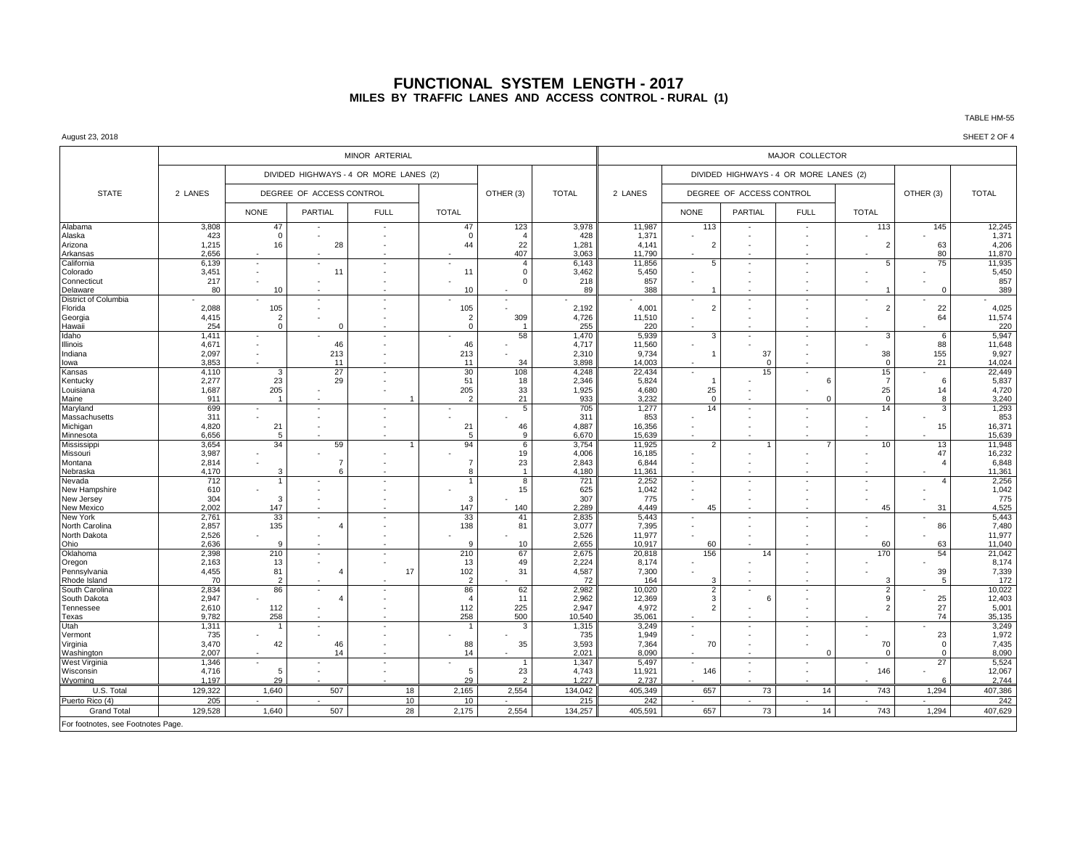## **FUNCTIONAL SYSTEM LENGTH - 2017 MILES BY TRAFFIC LANES AND ACCESS CONTROL - RURAL (1)**

#### August 23, 2018 SHEET 2 OF 4

|                                    |                |                      |                          | MINOR ARTERIAL                         |                       |                       |                | MAJOR COLLECTOR  |                          |                                        |                          |                |                |                  |
|------------------------------------|----------------|----------------------|--------------------------|----------------------------------------|-----------------------|-----------------------|----------------|------------------|--------------------------|----------------------------------------|--------------------------|----------------|----------------|------------------|
|                                    |                |                      |                          | DIVIDED HIGHWAYS - 4 OR MORE LANES (2) |                       | OTHER (3)             | <b>TOTAL</b>   | 2 LANES          |                          | DIVIDED HIGHWAYS - 4 OR MORE LANES (2) |                          |                |                |                  |
| <b>STATE</b>                       | 2 LANES        |                      | DEGREE OF ACCESS CONTROL |                                        |                       |                       |                |                  |                          | DEGREE OF ACCESS CONTROL               |                          |                | OTHER (3)      | <b>TOTAL</b>     |
|                                    |                | <b>NONE</b>          | PARTIAL                  | <b>FULL</b>                            | <b>TOTAL</b>          |                       |                |                  | <b>NONE</b>              | <b>PARTIAL</b>                         | <b>FULL</b>              | <b>TOTAL</b>   |                |                  |
| Alabama                            | 3,808          | 47                   |                          | $\sim$                                 | 47                    | 123                   | 3,978          | 11,987           | 113                      | ٠                                      | $\sim$                   | 113            | 145            | 12,245           |
| Alaska                             | 423            | $\Omega$             |                          |                                        | $\mathbf 0$           | $\overline{A}$        | 428            | 1,371            |                          |                                        |                          |                |                | 1,371            |
| Arizona                            | 1,215          | 16                   | 28                       |                                        | 44                    | 22                    | 1,281          | 4.141            | $\overline{2}$           |                                        |                          | $\overline{2}$ | 63             | 4,206            |
| Arkansas<br>California             | 2,656<br>6,139 | ×,                   |                          | ×.                                     |                       | 407<br>$\overline{4}$ | 3,063<br>6,143 | 11.790<br>11,856 | 5                        | ٠                                      |                          | 5              | 80<br>75       | 11,870<br>11,935 |
| Colorado                           | 3,451          |                      | 11                       |                                        | 11                    | $\Omega$              | 3,462          | 5,450            |                          |                                        |                          |                |                | 5,450            |
| Connecticut                        | 217            |                      |                          |                                        |                       | $\Omega$              | 218            | 857              |                          |                                        |                          |                |                | 857              |
| Delaware                           | 80             | 10                   |                          |                                        | 10                    |                       | 89             | 388              |                          |                                        |                          | -1             | $\overline{0}$ | 389              |
| District of Columbia               |                |                      |                          |                                        |                       | $\sim$                |                |                  |                          |                                        |                          |                |                |                  |
| Florida                            | 2,088          | 105                  |                          |                                        | 105                   |                       | 2,192          | 4,001            | $\overline{2}$           |                                        |                          | $\overline{2}$ | 22             | 4,025            |
| Georgia                            | 4,415          | 2                    |                          |                                        | $\overline{2}$        | 309                   | 4,726          | 11,510           |                          |                                        |                          |                | 64             | 11,574           |
| Hawaii                             | 254            | $\Omega$             |                          |                                        | $\Omega$              |                       | 255            | 220              |                          |                                        |                          |                |                | 220              |
| Idaho<br>Illinois                  | 1,411<br>4,671 | $\sim$               | 46                       | $\overline{\phantom{a}}$               | 46                    | 58                    | 1,470<br>4,717 | 5,939<br>11,560  | 3                        |                                        | $\overline{\phantom{a}}$ | 3              | 6<br>88        | 5,947<br>11,648  |
| Indiana                            | 2,097          |                      | 213                      |                                        | 213                   |                       | 2.310          | 9,734            |                          | 37                                     |                          | 38             | 155            | 9,927            |
| lowa                               | 3,853          | ×                    | 11                       | $\overline{\phantom{a}}$               | 11                    | 34                    | 3,898          | 14,003           |                          | $\Omega$                               | $\sim$                   | $\mathbf 0$    | 21             | 14,024           |
| Kansas                             | 4,110          | 3                    | 27                       | $\sim$                                 | 30                    | 108                   | 4,248          | 22,434           |                          | 15                                     | $\sim$                   | 15             |                | 22,449           |
| Kentucky                           | 2,277          | 23                   | 29                       |                                        | 51                    | 18                    | 2,346          | 5,824            |                          |                                        | 6                        | $\overline{7}$ | 6              | 5,837            |
| Louisiana                          | 1,687          | 205                  |                          |                                        | 205                   | 33                    | 1,925          | 4,680            | 25                       |                                        |                          | 25             | 14             | 4,720            |
| Maine                              | 911            |                      |                          |                                        | $\overline{2}$        | 21                    | 933            | 3.232            | $\Omega$                 |                                        | $\Omega$                 | $\Omega$       | $\mathbf{R}$   | 3,240            |
| Maryland                           | 699            |                      |                          |                                        |                       | 5                     | 705            | 1,277            | 14                       | ÷.                                     |                          | 14             | 3              | 1,293            |
| Massachusetts                      | 311            |                      |                          |                                        |                       |                       | 311            | 853              |                          |                                        |                          |                | 15             | 853              |
| Michigan<br>Minnesota              | 4,820<br>6,656 | 21<br>5              |                          |                                        | 21<br>$5\overline{5}$ | 46<br>$\mathbf{q}$    | 4,887<br>6.670 | 16,356<br>15,639 |                          |                                        |                          |                |                | 16,371<br>15,639 |
| Mississippi                        | 3,654          | 34                   | 59                       | $\overline{1}$                         | 94                    | 6                     | 3,754          | 11,925           | 2                        |                                        | $\overline{7}$           | 10             | 13             | 11,948           |
| Missouri                           | 3,987          |                      |                          |                                        |                       | 19                    | 4,006          | 16,185           |                          |                                        |                          |                | 47             | 16,232           |
| Montana                            | 2,814          |                      | $\overline{7}$           |                                        | $\overline{7}$        | 23                    | 2,843          | 6,844            |                          |                                        |                          |                | $\overline{4}$ | 6,848            |
| Nebraska                           | 4,170          | 3                    | $\kappa$                 |                                        | 8                     | $\overline{1}$        | 4,180          | 11,361           |                          |                                        |                          |                |                | 11,361           |
| Nevada                             | 712            |                      |                          |                                        |                       | 8                     | 721            | 2,252            | ÷,                       | ٠                                      |                          |                | $\overline{4}$ | 2,256            |
| New Hampshire                      | 610            |                      |                          |                                        |                       | 15                    | 625            | 1,042            |                          |                                        |                          |                |                | 1,042            |
| New Jersey<br><b>New Mexico</b>    | 304<br>2.002   | 3<br>147             |                          |                                        | 3<br>147              | 140                   | 307<br>2.289   | 775<br>4.449     | 45                       |                                        |                          | 45             | 31             | 775<br>4.525     |
| New York                           | 2,761          | 33                   |                          |                                        | 33                    | 41                    | 2,835          | 5,443            |                          |                                        |                          |                |                | 5,443            |
| North Carolina                     | 2,857          | 135                  | $\Delta$                 |                                        | 138                   | 81                    | 3,077          | 7,395            |                          |                                        | ×                        |                | 86             | 7,480            |
| North Dakota                       | 2,526          |                      |                          |                                        |                       |                       | 2.526          | 11,977           |                          |                                        |                          |                |                | 11.977           |
| Ohio                               | 2,636          | $\mathbf{q}$         |                          |                                        | <sub>9</sub>          | 10                    | 2,655          | 10,917           | 60                       |                                        |                          | 60             | 63             | 11,040           |
| Oklahoma                           | 2,398          | 210                  | $\sim$                   | ٠                                      | 210                   | 67                    | 2,675          | 20,818           | 156                      | 14                                     | ×                        | 170            | 54             | 21,042           |
| Oregon                             | 2,163          | 13                   |                          |                                        | 13                    | 49                    | 2,224          | 8.174            |                          |                                        |                          |                |                | 8.174            |
| Pennsylvania<br>Rhode Island       | 4,455<br>70    | 81                   | 4                        | 17                                     | 102<br>$\overline{2}$ | 31                    | 4,587          | 7,300            |                          |                                        |                          | $\mathcal{R}$  | 39             | 7,339            |
| South Carolina                     | 2,834          | $\overline{2}$<br>86 | $\sim$                   | $\overline{\phantom{a}}$               | 86                    | 62                    | 72<br>2,982    | 164<br>10,020    | 3<br>$\overline{2}$      | ٠                                      | $\sim$                   | $\overline{2}$ | 5              | 172<br>10,022    |
| South Dakota                       | 2,947          |                      | 4                        |                                        | $\overline{4}$        | 11                    | 2,962          | 12,369           | 3                        | 6                                      |                          | 9              | 25             | 12,403           |
| Tennessee                          | 2,610          | 112                  |                          |                                        | 112                   | 225                   | 2.947          | 4.972            | $\overline{2}$           |                                        |                          | $\overline{2}$ | 27             | 5,001            |
| Texas                              | 9.782          | 258                  |                          |                                        | 258                   | 500                   | 10.540         | 35,061           |                          |                                        |                          |                | 74             | 35,135           |
| Utah                               | 1,311          |                      |                          |                                        |                       | 3                     | 1,315          | 3,249            | ÷.                       |                                        |                          |                |                | 3,249            |
| Vermont                            | 735            |                      |                          |                                        |                       |                       | 735            | 1.949            |                          |                                        |                          |                | 23             | 1,972            |
| Virginia                           | 3,470          | 42                   | 46                       |                                        | 88                    | 35                    | 3,593          | 7,364            | 70                       | ÷,                                     |                          | 70             | $\mathbf 0$    | 7,435            |
| Washington                         | 2.007          |                      | 14                       |                                        | 14                    |                       | 2.021          | 8,090            |                          |                                        | $\Omega$                 | $\Omega$       | $\Omega$       | 8,090            |
| West Virginia                      | 1,346          |                      |                          |                                        |                       |                       | 1,347<br>4.743 | 5.497            | $\overline{\phantom{a}}$ | ÷                                      |                          |                | 27             | 5,524            |
| Wisconsin<br>Wvomina               | 4,716<br>1.197 | 5<br>29              |                          | $\sim$                                 | 5<br>29               | 23<br>$\mathcal{L}$   | 1.227          | 11,921<br>2.737  | 146                      | ٠                                      | ×                        | 146            | 6              | 12,067<br>2,744  |
| U.S. Total                         | 129,322        | 1,640                | 507                      | 18                                     | 2,165                 | 2,554                 | 134,042        | 405,349          | 657                      | 73                                     | 14                       | 743            | 1,294          | 407,386          |
| Puerto Rico (4)                    | 205            |                      |                          | 10                                     | 10                    |                       | 215            | 242              |                          |                                        | ÷.                       |                |                | 242              |
| <b>Grand Total</b>                 | 129,528        | 1,640                | 507                      | 28                                     | 2,175                 | 2,554                 | 134,257        | 405,591          | 657                      | 73                                     | 14                       | 743            | 1,294          | 407,629          |
|                                    |                |                      |                          |                                        |                       |                       |                |                  |                          |                                        |                          |                |                |                  |
| For footnotes, see Footnotes Page. |                |                      |                          |                                        |                       |                       |                |                  |                          |                                        |                          |                |                |                  |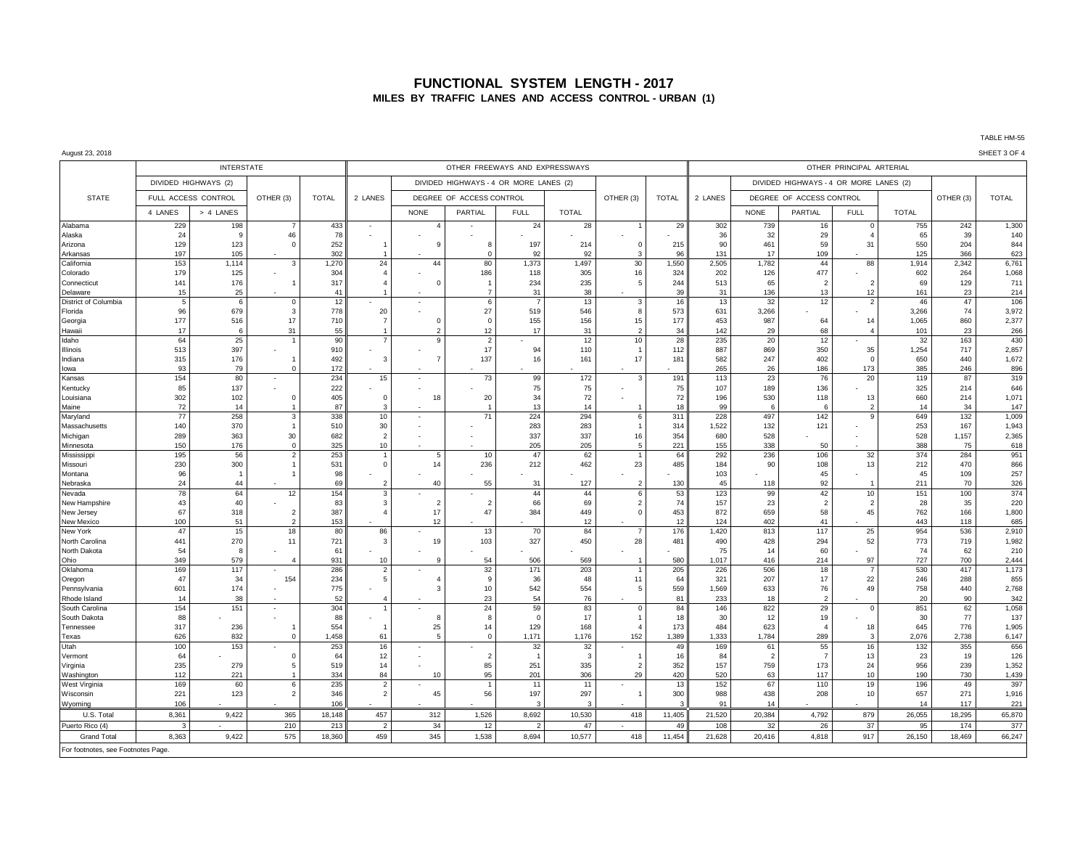## **FUNCTIONAL SYSTEM LENGTH - 2017 MILES BY TRAFFIC LANES AND ACCESS CONTROL - URBAN (1)**

August 23, 2018 SHEET 3 OF 4

|                                    |                     | <b>INTERSTATE</b>    |                                  |              |                |                | OTHER FREEWAYS AND EXPRESSWAYS         |                |              |                               | OTHER PRINCIPAL ARTERIAL |              |                |                                        |                                |              |              |                |  |  |  |
|------------------------------------|---------------------|----------------------|----------------------------------|--------------|----------------|----------------|----------------------------------------|----------------|--------------|-------------------------------|--------------------------|--------------|----------------|----------------------------------------|--------------------------------|--------------|--------------|----------------|--|--|--|
|                                    |                     | DIVIDED HIGHWAYS (2) |                                  |              |                |                | DIVIDED HIGHWAYS - 4 OR MORE LANES (2) |                |              |                               |                          |              |                | DIVIDED HIGHWAYS - 4 OR MORE LANES (2) |                                |              |              |                |  |  |  |
| <b>STATE</b>                       | FULL ACCESS CONTROL |                      | OTHER (3)                        | <b>TOTAL</b> | 2 LANES        |                | DEGREE OF ACCESS CONTROL               |                |              | OTHER (3)                     | <b>TOTAL</b>             | 2 LANES      |                | DEGREE OF ACCESS CONTROL               |                                |              | OTHER (3)    | <b>TOTAL</b>   |  |  |  |
|                                    | 4 LANES             | > 4 LANES            |                                  |              |                | <b>NONE</b>    | PARTIAL                                | <b>FULL</b>    | <b>TOTAL</b> |                               |                          |              | <b>NONE</b>    | PARTIAL                                | <b>FULL</b>                    | <b>TOTAL</b> |              |                |  |  |  |
| Alabama                            | 229                 | 198                  |                                  | 433          |                |                |                                        | 24             | 28           |                               | 29                       | 302          | 739            | 16                                     | $\Omega$                       | 755          | 242          | 1,300          |  |  |  |
| Alaska                             | 24                  | 9                    | 46                               | 78           |                |                |                                        |                |              |                               |                          | 36           | 32             | 29                                     | $\overline{a}$                 | 65           | 39           | 140            |  |  |  |
| Arizona                            | 129                 | 123                  | $\overline{0}$                   | 252          |                | 9              | 8                                      | 197            | 214          | 0                             | 215                      | 90           | 461            | 59                                     | 31                             | 550          | 204          | 844            |  |  |  |
| Arkansas                           | 197                 | 105                  |                                  | 302          |                |                | $\Omega$                               | 92             | 92           | 3                             | 96                       | 131          | 17             | 109                                    |                                | 125          | 366          | 623            |  |  |  |
| California                         | 153<br>179          | 1,114<br>125         | 3                                | 1,270        | 24             | 44             | 80<br>186                              | 1,373<br>118   | 1,497        | 30<br>16                      | 1,550<br>324             | 2,505<br>202 | 1,782<br>126   | 44<br>477                              | 88                             | 1,914<br>602 | 2,342<br>264 | 6,761<br>1,068 |  |  |  |
| Colorado<br>Connecticut            | 141                 | 176                  |                                  | 304<br>317   |                | C              |                                        | 234            | 305<br>235   | 5                             | 244                      | 513          | 65             | $\overline{2}$                         | $\mathcal{P}$                  | 69           | 129          | 711            |  |  |  |
| Delaware                           | 15                  | 25                   |                                  | 41           |                |                | $\overline{7}$                         | 31             | 38           | ٠                             | 39                       | 31           | 136            | 13                                     | 12                             | 161          | 23           | 214            |  |  |  |
| District of Columbia               | 5                   | 6                    | $\mathbf 0$                      | 12           |                |                | 6                                      |                | 13           | 3                             | 16                       | 13           | 32             | 12                                     | $\overline{2}$                 | 46           | 47           | 106            |  |  |  |
| Florida                            | 96                  | 679                  | $\overline{\mathbf{3}}$          | 778          | 20             |                | 27                                     | 519            | 546          | 8                             | 573                      | 631          | 3,266          |                                        |                                | 3,266        | 74           | 3,972          |  |  |  |
| Georgia                            | 177                 | 516                  | 17                               | 710          |                |                | $\Omega$                               | 155            | 156          | 15                            | 177                      | 453          | 987            | 64                                     | 14                             | 1,065        | 860          | 2,377          |  |  |  |
| Hawaii                             | 17                  | -6                   | 31                               | 55           |                |                | 12                                     | 17             | 31           | $\overline{2}$                | 34                       | 142          | 29             | 68                                     | $\overline{4}$                 | 101          | 23           | 266            |  |  |  |
| Idaho                              | 64                  | 25                   | $\overline{1}$                   | 90           |                | q              | $\overline{2}$                         |                | 12           | 10                            | 28                       | 235          | 20             | 12                                     | $\sim$                         | 32           | 163          | 430            |  |  |  |
| Illinois                           | 513                 | 397                  |                                  | 910          |                |                | 17                                     | 94             | 110          |                               | 112                      | 887          | 869            | 350                                    | 35                             | 1,254        | 717          | 2,857          |  |  |  |
| Indiana                            | 315                 | 176                  | $\overline{1}$                   | 492          | 3              | $\overline{7}$ | 137                                    | 16             | 161          | 17                            | 181                      | 582          | 247            | 402                                    | $\mathbf 0$                    | 650          | 440          | 1,672          |  |  |  |
| lowa                               | 93                  | 79                   | $\Omega$                         | 172          |                |                |                                        |                |              | $\overline{\phantom{a}}$      |                          | 265          | 26             | 186                                    | 173                            | 385          | 246          | 896            |  |  |  |
| Kansas                             | 154                 | 80                   |                                  | 234          | 15             |                | 73                                     | 99             | 172          | 3                             | 191                      | 113          | 23             | 76                                     | 20                             | 119          | 87           | 319            |  |  |  |
| Kentucky                           | 85                  | 137                  |                                  | 222          |                |                |                                        | 75             | 75           |                               | 75                       | 107          | 189            | 136                                    |                                | 325          | 214          | 646            |  |  |  |
| Louisiana                          | 302<br>72           | 102                  | $\Omega$                         | 405<br>87    | $\mathbf 0$    | 18             | 20                                     | 34<br>13       | 72<br>14     |                               | 72<br>18                 | 196<br>99    | 530<br>6       | 118<br>6                               | 13<br>$\overline{\phantom{a}}$ | 660          | 214<br>34    | 1,071<br>147   |  |  |  |
| Maine<br>Maryland                  | 77                  | 14<br>258            | 3                                | 338          | 10             |                | 71                                     | 224            | 294          | 6                             | 311                      | 228          | 497            | 142                                    | $\mathsf{Q}$                   | 14<br>649    | 132          | 1,009          |  |  |  |
| Massachusetts                      | 140                 | 370                  | - 1                              | 510          | 30             |                |                                        | 283            | 283          | $\overline{1}$                | 314                      | 1,522        | 132            | 121                                    |                                | 253          | 167          | 1,943          |  |  |  |
| Michigan                           | 289                 | 363                  | 30                               | 682          | 2              |                |                                        | 337            | 337          | 16                            | 354                      | 680          | 528            |                                        |                                | 528          | 1,157        | 2,365          |  |  |  |
| Minnesota                          | 150                 | 176                  | $\Omega$                         | 325          | 10             |                |                                        | 205            | 205          | 5                             | 221                      | 155          | 338            | 50                                     |                                | 388          | 75           | 618            |  |  |  |
| Mississipp                         | 195                 | 56                   | $\overline{2}$                   | 253          |                | 5              | 10                                     | 47             | 62           | $\mathbf{1}$                  | 64                       | 292          | 236            | 106                                    | 32                             | 374          | 284          | 951            |  |  |  |
| Missouri                           | 230                 | 300                  |                                  | 531          | $\sqrt{ }$     | 14             | 236                                    | 212            | 462          | 23                            | 485                      | 184          | 90             | 108                                    | 13                             | 212          | 470          | 866            |  |  |  |
| Montana                            | 96                  | $\mathbf{1}$         |                                  | 98           |                |                |                                        |                |              |                               |                          | 103          |                | 45                                     |                                | 45           | 109          | 257            |  |  |  |
| Nebraska                           | 24                  | 44                   |                                  | 69           | 2              | 40             | 55                                     | 31             | 127          | $\overline{2}$                | 130                      | 45           | 118            | 92                                     |                                | 211          | 70           | 326            |  |  |  |
| Nevada                             | 78                  | 64                   | 12                               | 154          |                |                |                                        | 44             | 44           | 6                             | 53                       | 123          | 99             | 42                                     | 10                             | 151          | 100          | 374            |  |  |  |
| New Hampshire                      | 43                  | 40                   |                                  | 83           | з              | $\overline{2}$ | $\overline{2}$                         | 66             | 69           | $\overline{2}$<br>$\mathbf 0$ | 74                       | 157          | 23             | 2                                      | $\overline{2}$<br>45           | 28           | 35           | 220            |  |  |  |
| New Jersey<br><b>New Mexico</b>    | 67<br>100           | 318<br>51            | $\overline{2}$<br>$\overline{2}$ | 387<br>153   |                | 17<br>12       | 47                                     | 384            | 449<br>12    |                               | 453<br>12                | 872<br>124   | 659<br>402     | 58<br>41                               |                                | 762<br>443   | 166<br>118   | 1,800<br>685   |  |  |  |
| New York                           | 47                  | 15                   | 18                               | 80           | 86             |                | 13                                     | 70             | 84           | $\overline{7}$                | 176                      | 1,420        | 813            | 117                                    | 25                             | 954          | 536          | 2,910          |  |  |  |
| North Carolina                     | 441                 | 270                  | 11                               | 721          | 3              | 19             | 103                                    | 327            | 450          | 28                            | 481                      | 490          | 428            | 294                                    | 52                             | 773          | 719          | 1,982          |  |  |  |
| North Dakota                       | 54                  | 8                    |                                  | 61           |                |                |                                        |                |              |                               |                          | 75           | 14             | 60                                     |                                | 74           | 62           | 210            |  |  |  |
| Ohio                               | 349                 | 579                  | $\boldsymbol{\Delta}$            | 931          | 10             |                | 54                                     | 506            | 569          |                               | 580                      | 1,017        | 416            | 214                                    | 97                             | 727          | 700          | 2,444          |  |  |  |
| Oklahoma                           | 169                 | 117                  |                                  | 286          |                |                | 32                                     | 171            | 203          |                               | 205                      | 226          | 506            | 18                                     | $\overline{7}$                 | 530          | 417          | 1,173          |  |  |  |
| Oregon                             | 47                  | 34                   | 154                              | 234          | 5              |                | q                                      | 36             | 48           | 11                            | 64                       | 321          | 207            | 17                                     | 22                             | 246          | 288          | 855            |  |  |  |
| Pennsylvania                       | 601                 | 174                  |                                  | 775          |                | 3              | 10                                     | 542            | 554          | 5                             | 559                      | 1,569        | 633            | 76                                     | 49                             | 758          | 440          | 2,768          |  |  |  |
| Rhode Island                       | 14                  | 38                   |                                  | 52           |                |                | 23                                     | 54             | 76           |                               | 81                       | 233          | 18             | $\overline{\phantom{0}}$               |                                | 20           | 90           | 342            |  |  |  |
| South Carolina                     | 154                 | 151                  |                                  | 304          |                |                | 24                                     | 59             | 83           | $\Omega$                      | 84                       | 146          | 822            | 29                                     | $\mathbf 0$                    | 851          | 62           | 1,058          |  |  |  |
| South Dakota                       | 88                  |                      |                                  | 88           |                | 8              | 8                                      | $\overline{0}$ | 17           |                               | 18                       | 30           | 12             | 19                                     |                                | 30           | 77           | 137            |  |  |  |
| Tennessee<br>Texas                 | 317<br>626          | 236<br>832           | $\overline{0}$                   | 554<br>1,458 | 61             | 25<br>5        | 14<br>$\Omega$                         | 129<br>1,171   | 168<br>1,176 | 152                           | 173<br>1,389             | 484<br>1,333 | 623<br>1,784   | $\overline{4}$<br>289                  | 18<br>3                        | 645<br>2,076 | 776<br>2,738 | 1,905<br>6,147 |  |  |  |
| Utah                               | 100                 | 153                  |                                  | 253          | 16             |                |                                        | 32             | 32           |                               | 49                       | 169          | 61             | 55                                     | 16                             | 132          | 355          | 656            |  |  |  |
| Vermont                            | 64                  |                      | $\Omega$                         | 64           | 12             |                | $\overline{2}$                         | $\overline{1}$ | 3            |                               | 16                       | 84           | $\overline{2}$ | $\overline{7}$                         | 13                             | 23           | 19           | 126            |  |  |  |
| Virginia                           | 235                 | 279                  | .5                               | 519          | 14             |                | 85                                     | 251            | 335          | $\overline{2}$                | 352                      | 157          | 759            | 173                                    | 24                             | 956          | 239          | 1,352          |  |  |  |
| Washington                         | 112                 | 221                  | $\overline{1}$                   | 334          | 84             | 10             | 95                                     | 201            | 306          | 29                            | 420                      | 520          | 63             | 117                                    | 10                             | 190          | 730          | 1,439          |  |  |  |
| West Virginia                      | 169                 | 60                   | 6                                | 235          |                |                |                                        | 11             | 11           |                               | 13                       | 152          | 67             | 110                                    | 19                             | 196          | 49           | 397            |  |  |  |
| Wisconsin                          | 221                 | 123                  | $\overline{2}$                   | 346          | $\overline{2}$ | 45             | 56                                     | 197            | 297          | $\overline{1}$                | 300                      | 988          | 438            | 208                                    | 10                             | 657          | 271          | 1,916          |  |  |  |
| Wyoming                            | 106                 |                      |                                  | 106          |                |                |                                        |                | $\mathbf{a}$ |                               |                          | 91           | 14             |                                        |                                | 14           | 117          | 221            |  |  |  |
| U.S. Total                         | 8,361               | 9,422                | 365                              | 18,148       | 457            | 312            | 1,526                                  | 8,692          | 10,530       | 418                           | 11,405                   | 21,520       | 20,384         | 4,792                                  | 879                            | 26,055       | 18,295       | 65,870         |  |  |  |
| Puerto Rico (4)                    | 3                   |                      | 210                              | 213          | $\mathcal{P}$  | 34             | 12                                     | $\mathcal{P}$  | 47           |                               | 49                       | 108          | 32             | 26                                     | 37                             | 95           | 174          | 377            |  |  |  |
| <b>Grand Total</b>                 | 8,363               | 9,422                | 575                              | 18,360       | 459            | 345            | 1,538                                  | 8,694          | 10,577       | 418                           | 11,454                   | 21,628       | 20,416         | 4,818                                  | 917                            | 26,150       | 18,469       | 66,247         |  |  |  |
| For footnotes, see Footnotes Page. |                     |                      |                                  |              |                |                |                                        |                |              |                               |                          |              |                |                                        |                                |              |              |                |  |  |  |
|                                    |                     |                      |                                  |              |                |                |                                        |                |              |                               |                          |              |                |                                        |                                |              |              |                |  |  |  |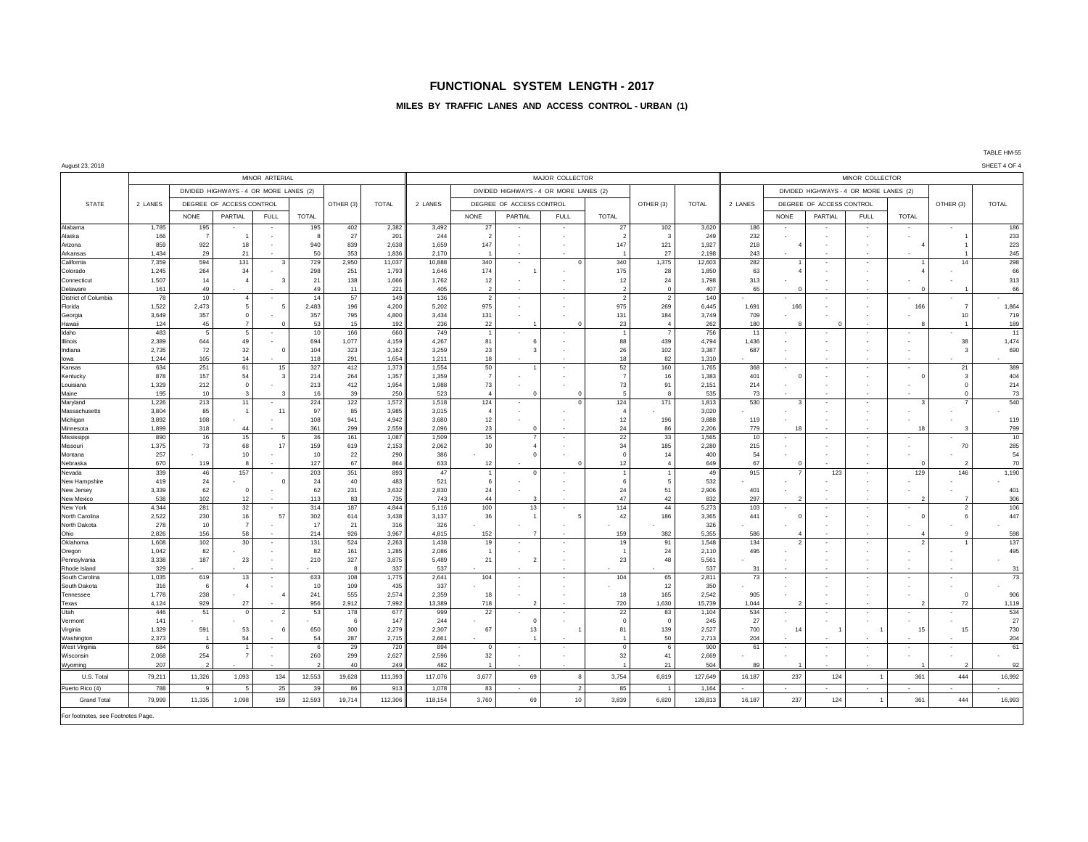## **FUNCTIONAL SYSTEM LENGTH - 2017**

### **MILES BY TRAFFIC LANES AND ACCESS CONTROL - URBAN (1)**

| August 23, 2018                    |                |                          |                                        |                          |                |              |                 |                 |                                        |                                            |                                      |                          |                |                 |                                        |                                          |                |                          |                          |                          | SHEET 4 OF 4 |  |
|------------------------------------|----------------|--------------------------|----------------------------------------|--------------------------|----------------|--------------|-----------------|-----------------|----------------------------------------|--------------------------------------------|--------------------------------------|--------------------------|----------------|-----------------|----------------------------------------|------------------------------------------|----------------|--------------------------|--------------------------|--------------------------|--------------|--|
|                                    |                |                          |                                        | MINOR ARTERIAL           |                |              |                 |                 |                                        |                                            | MAJOR COLLECTOR                      |                          |                | MINOR COLLECTOR |                                        |                                          |                |                          |                          |                          |              |  |
|                                    |                |                          | DIVIDED HIGHWAYS - 4 OR MORE LANES (2) |                          |                |              |                 |                 | DIVIDED HIGHWAYS - 4 OR MORE LANES (2) |                                            |                                      |                          |                |                 | DIVIDED HIGHWAYS - 4 OR MORE LANES (2) |                                          |                |                          |                          |                          |              |  |
| <b>STATE</b>                       | 2 LANES        |                          | DEGREE OF ACCESS CONTROL               |                          |                | OTHER (3)    | <b>TOTAL</b>    | 2 LANES         |                                        | DEGREE OF ACCESS CONTROL                   |                                      |                          |                | <b>TOTAL</b>    | 2 LANES                                | DEGREE OF ACCESS CONTROL                 |                |                          | OTHER (3)                | <b>TOTAL</b>             |              |  |
|                                    |                | <b>NONE</b>              | <b>PARTIAL</b>                         | <b>FULL</b>              | <b>TOTAL</b>   |              |                 |                 | <b>NONE</b>                            | PARTIAL                                    | <b>FULL</b>                          | <b>TOTAL</b>             |                |                 |                                        | <b>NONE</b>                              | <b>PARTIAL</b> | <b>FULL</b>              | <b>TOTAL</b>             |                          |              |  |
| Alabama                            | 1,785          | 195                      |                                        |                          | 195            | 402          | 2,382           | 3,492           | 27                                     |                                            | $\overline{\phantom{a}}$             | 27                       | 102            | 3,620           | 186                                    |                                          |                |                          |                          | $\sim$                   | 186          |  |
| Alaska                             | 166            | $\overline{7}$           |                                        |                          | -8             | 27           | 201             | 244             | $\overline{2}$                         |                                            | ٠                                    | $\overline{\phantom{a}}$ | $\mathbf{3}$   | 249             | 232                                    |                                          |                |                          |                          | $\overline{1}$           | 233          |  |
| Arizona                            | 859            | 922                      | 18                                     | $\overline{\phantom{a}}$ | 940            | 839          | 2,638           | 1,659           | 147                                    | $\sim$                                     | ٠                                    | 147                      | 121            | 1,927           | 218                                    | $\overline{a}$                           |                | ×                        |                          |                          | 223          |  |
| Arkansas                           | 1,434          | 29                       | 21                                     |                          | 50             | 353          | 1,836           | 2,170           |                                        |                                            |                                      |                          | 27             | 2,198           | 243                                    |                                          |                |                          |                          |                          | 245          |  |
| California                         | 7,359          | 594<br>264               | 131<br>34                              | 3                        | 729            | 2,950<br>251 | 11,037<br>1,793 | 10,888<br>1,646 | 340<br>174                             | $\cdot$                                    | $\Omega$<br>$\overline{\phantom{a}}$ | 340<br>175               | 1,375          | 12,603<br>1,850 | 282                                    | $\overline{1}$<br>$\boldsymbol{\Lambda}$ |                | $\overline{\phantom{a}}$ | $\overline{4}$           | 14                       | 298<br>66    |  |
| Colorado<br>Connecticut            | 1,245<br>1,507 | 14                       | $\overline{4}$                         | 3                        | 298<br>21      | 138          | 1,666           | 1,762           | 12                                     | $\overline{\phantom{a}}$                   | $\overline{\phantom{a}}$             | 12                       | 28<br>24       | 1,798           | 63<br>313                              |                                          |                |                          |                          |                          | 313          |  |
| Delaware                           | 161            | 49                       |                                        |                          | 49             | 11           | 221             | 405             | $\overline{2}$                         |                                            |                                      | $\overline{2}$           | $\Omega$       | 407             | 65                                     | $\Omega$                                 |                |                          | $\Omega$                 |                          | 66           |  |
| District of Columbia               | 78             | 10                       | $\overline{4}$                         |                          | 14             | 57           | 149             | 136             | $\overline{2}$                         | $\sim$                                     | ÷                                    | $\overline{2}$           | $\overline{2}$ | 140             |                                        |                                          |                | $\overline{\phantom{a}}$ | ×                        | $\sim$                   |              |  |
| Florida                            | 1,522          | 2,473                    | 5                                      | 5                        | 2,483          | 196          | 4,200           | 5,202           | 975                                    | $\overline{\phantom{a}}$                   | $\overline{\phantom{a}}$             | 975                      | 269            | 6,445           | 1,691                                  | 166                                      |                |                          | 166                      | $\overline{7}$           | 1,864        |  |
| Georgia                            | 3,649          | 357                      | $\overline{0}$                         |                          | 357            | 795          | 4,800           | 3,434           | 131                                    |                                            |                                      | 131                      | 184            | 3,749           | 709                                    |                                          |                |                          |                          | 10                       | 719          |  |
| Hawaii                             | 124            | 45                       | $\overline{7}$                         | $\Omega$                 | 53             | 15           | 192             | 236             | 22                                     | $\overline{1}$                             | $\Omega$                             | 23                       | $\overline{4}$ | 262             | 180                                    | $\mathbf{g}$                             | $\Omega$       |                          | 8                        | $\overline{1}$           | 189          |  |
| Idaho                              | 483<br>2,389   | 5                        | 5<br>49                                |                          | 10<br>694      | 166          | 660<br>4,159    | 749             |                                        | $\sim$<br>6                                |                                      |                          | 439            | 756<br>4,794    | 11<br>1,436                            |                                          |                | $\overline{\phantom{a}}$ |                          | 38                       | 11<br>1,474  |  |
| Illinois<br>Indiana                | 2,735          | 644<br>72                | 32                                     | $\Omega$                 | 104            | 1,077<br>323 | 3,162           | 4,267<br>3,259  | 81<br>23                               | 3                                          |                                      | 88<br>26                 | 102            | 3,387           | 687                                    | ÷.                                       |                |                          | $\sim$                   | 3                        | 690          |  |
| lowa                               | 1,244          | 105                      | 14                                     |                          | 118            | 291          | 1,654           | 1,211           | 18                                     | $\overline{\phantom{a}}$                   |                                      | 18                       | 82             | 1,310           |                                        |                                          |                |                          | $\overline{\phantom{a}}$ |                          |              |  |
| Kansas                             | 634            | 251                      | 61                                     | 15                       | 327            | 412          | 1,373           | 1,554           | 50                                     |                                            | $\sim$                               | 52                       | 160            | 1,765           | 368                                    | $\sim$                                   |                | ×,                       |                          | 21                       | 389          |  |
| Kentucky                           | 878            | 157                      | 54                                     | 3                        | 214            | 264          | 1,357           | 1,359           | $\overline{7}$                         |                                            |                                      |                          | 16             | 1,383           | 401                                    | $\circ$                                  |                |                          | $\mathbf 0$              | $\overline{\mathbf{3}}$  | 404          |  |
| Louisiana                          | 1,329          | 212                      | $\overline{0}$                         |                          | 213            | 412          | 1,954           | 1,988           | 73                                     | ٠                                          | ٠                                    | 73                       | 91             | 2,151           | 214                                    | ٠                                        |                | ×                        |                          | $\mathbf 0$              | 214          |  |
| Maine                              | 195            | 10                       | 3                                      | 3                        | 16             | 39           | 250             | 523             | $\overline{4}$                         | $\mathbf 0$                                | $\Omega$                             | 5                        |                | 535             | 73                                     |                                          |                |                          |                          | $\mathbf 0$              | 73           |  |
| Maryland                           | 1,226          | 213                      | 11                                     |                          | 224            | 122          | 1,572           | 1,518           | 124                                    | $\sim$                                     | $\mathbf 0$                          | 124                      | 171            | 1,813           | 530                                    | 3                                        |                | ×                        | $\mathbf{R}$             |                          | 540          |  |
| Massachusetts<br>Michigan          | 3,804<br>3.892 | 85<br>108                | $\overline{1}$                         | 11                       | 97<br>108      | 85<br>941    | 3,985<br>4.942  | 3,015<br>3.680  | $\overline{4}$<br>12                   |                                            |                                      | 12                       | 196            | 3,020<br>3.888  | 119                                    |                                          |                |                          |                          |                          | 119          |  |
| Minnesota                          | 1,899          | 318                      | 44                                     |                          | 361            | 299          | 2,559           | 2,096           | 23                                     | $\Omega$                                   |                                      | 24                       | 86             | 2,206           | 779                                    | 18                                       |                |                          | 18                       | 3                        | 799          |  |
| Mississippi                        | 890            | 16                       | 15                                     | 5                        | 36             | 161          | 1,087           | 1,509           | 15                                     | 7                                          | $\overline{\phantom{a}}$             | 22                       | 33             | 1,565           | 10                                     |                                          |                | $\overline{\phantom{a}}$ |                          |                          | 10           |  |
| Missouri                           | 1,375          | 73                       | 68                                     | 17                       | 159            | 619          | 2,153           | 2,062           | 30                                     |                                            |                                      | 34                       | 185            | 2,280           | 215                                    |                                          |                |                          |                          | 70                       | 285          |  |
| Montana                            | 257            |                          | 10                                     |                          | 10             | 22           | 290             | 386             |                                        |                                            |                                      | $\Omega$                 | 14             | 400             | 54                                     |                                          |                |                          |                          |                          | 54           |  |
| Nebraska                           | 670            | 119                      | $\mathbf{g}$                           |                          | 127            | 67           | 864             | 633             | 12                                     |                                            | O                                    | 12                       | $\mathbf{A}$   | 649             | 67                                     | $\mathbf 0$                              |                |                          | $\circ$                  | $\overline{2}$           | 70           |  |
| Nevada                             | 339            | 46                       | 157                                    | $\sim$                   | 203            | 351          | 893             | 47              |                                        | $\Omega$                                   | ٠                                    |                          |                | 49              | 915                                    | $\overline{7}$                           | 123            | ×                        | 129                      | 146                      | 1,190        |  |
| New Hampshire<br>New Jersey        | 419<br>3,339   | 24<br>62                 | $\overline{0}$                         | $\mathbf 0$              | 24<br>62       | 40<br>231    | 483<br>3,632    | 521<br>2,830    | 6<br>24                                |                                            |                                      | 6<br>24                  | -5<br>51       | 532<br>2,906    | 401                                    |                                          |                |                          |                          |                          | 401          |  |
| New Mexico                         | 538            | 102                      | 12                                     |                          | 113            | 83           | 735             | 743             | 44                                     | 3                                          |                                      | 47                       | 42             | 832             | 297                                    | $\overline{2}$                           |                |                          | $\overline{2}$           | $\overline{7}$           | 306          |  |
| New York                           | 4,344          | 281                      | 32                                     |                          | 314            | 187          | 4,844           | 5,116           | 100                                    | 13                                         | ٠                                    | 114                      | 44             | 5,273           | 103                                    |                                          |                | $\overline{\phantom{a}}$ |                          | $\overline{2}$           | 106          |  |
| North Carolina                     | 2,522          | 230                      | 16                                     | 57                       | 302            | 614          | 3,438           | 3,137           | 36                                     |                                            |                                      | 42                       | 186            | 3,365           | 441                                    | $\mathbf 0$                              |                |                          | $\mathbf 0$              | 6                        | 447          |  |
| North Dakota                       | 278            | 10                       | $\overline{7}$                         |                          | 17             | 21           | 316             | 326             |                                        |                                            | ٠                                    |                          |                | 326             |                                        |                                          |                |                          |                          |                          |              |  |
| Ohio                               | 2.826          | 156                      | 58                                     |                          | 214            | 926          | 3.967           | 4.815           | 152                                    |                                            |                                      | 159                      | 382            | 5,355           | 586                                    | $\overline{4}$                           |                |                          | $\overline{4}$           | 9                        | 598          |  |
| Oklahoma                           | 1,608<br>1,042 | 102                      | 30                                     | $\sim$                   | 131<br>82      | 524          | 2,263<br>1,285  | 1,438           | 19                                     | $\sim$                                     | $\sim$                               | 19                       | 91<br>24       | 1,548<br>2,110  | 134<br>495                             | $\overline{2}$                           |                | ×,                       | $\overline{2}$           |                          | 137<br>495   |  |
| Oregon<br>Pennsylvania             | 3,338          | 82<br>187                | 23                                     |                          | 210            | 161<br>327   | 3,875           | 2,086<br>5,489  | 21                                     | $\overline{z}$                             |                                      | 23                       | 48             | 5,561           |                                        |                                          |                |                          |                          |                          |              |  |
| Rhode Island                       | 329            |                          |                                        |                          |                | 8            | 337             | 537             |                                        |                                            |                                      |                          |                | 537             | 31                                     |                                          |                |                          |                          |                          | 31           |  |
| South Carolina                     | 1,035          | 619                      | 13                                     |                          | 633            | 108          | 1,775           | 2,641           | 104                                    |                                            |                                      | 104                      | 65             | 2,811           | 73                                     |                                          |                |                          |                          |                          | 73           |  |
| South Dakota                       | 316            | 6                        | $\overline{4}$                         |                          | 10             | 109          | 435             | 337             |                                        | $\overline{\phantom{a}}$                   | ٠                                    |                          | 12             | 350             |                                        |                                          |                |                          | ٠                        |                          |              |  |
| Tennessee                          | 1,778          | 238                      |                                        |                          | 241            | 555          | 2,574           | 2,359           | 18                                     |                                            |                                      | 18                       | 165            | 2,542           | 905                                    |                                          |                |                          |                          | $\Omega$                 | 906          |  |
| Texas                              | 4,124          | 929                      | 27                                     |                          | 956            | 2,912        | 7,992           | 13,389          | 718                                    | 2                                          |                                      | 720                      | 1,630          | 15,739          | 1,044                                  | $\overline{2}$                           |                |                          | $\overline{\phantom{a}}$ | 72                       | 1,119        |  |
| Utah<br>Vermont                    | 446<br>141     | 51                       | $\Omega$                               | $\overline{2}$           | 53             | 178          | 677<br>147      | 999<br>244      | 22                                     | $\overline{\phantom{a}}$<br>$\overline{0}$ | ٠                                    | 22<br>$\Omega$           | 83<br>$\Omega$ | 1,104<br>245    | 534                                    | ٠                                        |                | $\overline{\phantom{a}}$ | $\sim$                   | $\overline{\phantom{a}}$ | 534<br>27    |  |
| Virginia                           | 1,329          | 591                      | 53                                     | 6                        | 650            | 6<br>300     | 2,279           | 2,307           | 67                                     | 13                                         |                                      | 81                       | 139            | 2,527           | 27<br>700                              | 14                                       |                |                          | 15                       | 15                       | 730          |  |
| Washington                         | 2,373          | $\overline{1}$           | 54                                     |                          | 54             | 287          | 2,715           | 2,661           |                                        |                                            |                                      |                          | 50             | 2,713           | 204                                    |                                          |                |                          |                          |                          | 204          |  |
| West Virginia                      | 684            | $6 \overline{6}$         |                                        |                          | 6              | 29           | 720             | 894             | $\Omega$                               | $\overline{\phantom{a}}$                   | ٠                                    | $\overline{0}$           | 6              | 900             | 61                                     |                                          |                |                          | $\sim$                   | ٠.                       | 61           |  |
| Wisconsin                          | 2,068          | 254                      | $\overline{7}$                         |                          | 260            | 299          | 2,627           | 2,596           | 32                                     |                                            |                                      | 32                       | 41             | 2,669           |                                        |                                          |                |                          |                          |                          |              |  |
| Wyoming                            | 207            | $\overline{\phantom{a}}$ |                                        |                          | $\overline{2}$ | 40           | 249             | 482             |                                        |                                            |                                      |                          | 21             | 504             | 89                                     | $\overline{1}$                           |                |                          |                          | $\mathcal{P}$            | 92           |  |
| U.S. Total                         | 79,211         | 11,326                   | 1,093                                  | 134                      | 12,553         | 19,628       | 111,393         | 117,076         | 3,677                                  | 69                                         | 8                                    | 3,754                    | 6,819          | 127,649         | 16,187                                 | 237                                      | 124            |                          | 361                      | 444                      | 16,992       |  |
| Puerto Rico (4)                    | 788            | $\mathbf{g}$             | - 5                                    | 25                       | 39             | 86           | 913             | 1.078           | 83                                     | $\sim$                                     | $\overline{2}$                       | 85                       | $\overline{1}$ | 1,164           | $\sim$                                 | $\sim$                                   | $\sim$         | $\sim$                   | $\sim$                   | $\sim$                   | $\sim$       |  |
| <b>Grand Total</b>                 | 79,999         | 11,335                   | 1,098                                  | 159                      | 12,593         | 19,714       | 112,306         | 118,154         | 3,760                                  | 69                                         | 10                                   | 3,839                    | 6,820          | 128,813         | 16,187                                 | 237                                      | 124            |                          | 361                      | 444                      | 16,993       |  |
| For footnotes, see Footnotes Page. |                |                          |                                        |                          |                |              |                 |                 |                                        |                                            |                                      |                          |                |                 |                                        |                                          |                |                          |                          |                          |              |  |